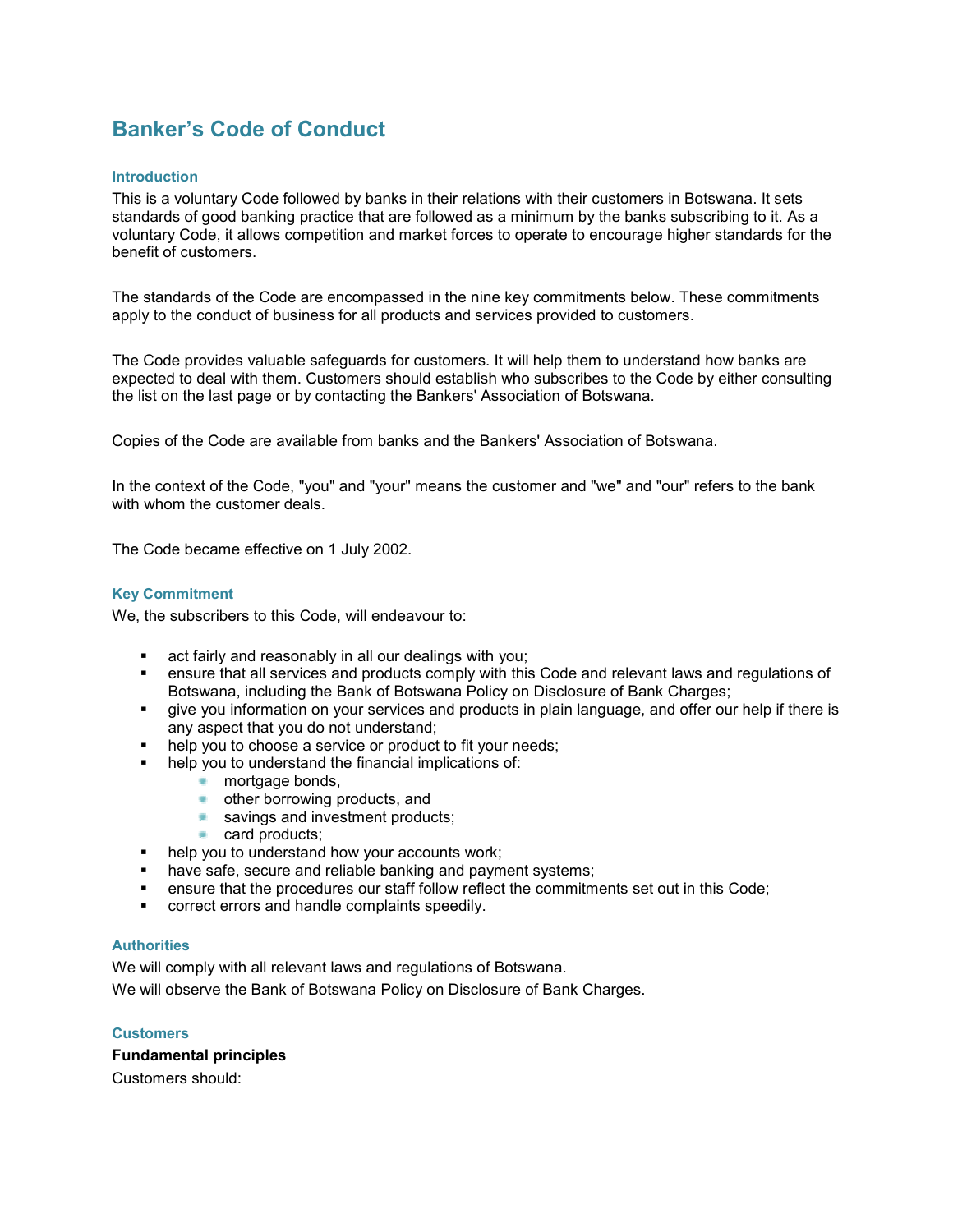# Banker's Code of Conduct

#### **Introduction**

This is a voluntary Code followed by banks in their relations with their customers in Botswana. It sets standards of good banking practice that are followed as a minimum by the banks subscribing to it. As a voluntary Code, it allows competition and market forces to operate to encourage higher standards for the benefit of customers.

The standards of the Code are encompassed in the nine key commitments below. These commitments apply to the conduct of business for all products and services provided to customers.

The Code provides valuable safeguards for customers. It will help them to understand how banks are expected to deal with them. Customers should establish who subscribes to the Code by either consulting the list on the last page or by contacting the Bankers' Association of Botswana.

Copies of the Code are available from banks and the Bankers' Association of Botswana.

In the context of the Code, "you" and "your" means the customer and "we" and "our" refers to the bank with whom the customer deals.

The Code became effective on 1 July 2002.

#### Key Commitment

We, the subscribers to this Code, will endeavour to:

- **act fairly and reasonably in all our dealings with you;**
- ensure that all services and products comply with this Code and relevant laws and regulations of Botswana, including the Bank of Botswana Policy on Disclosure of Bank Charges;
- give you information on your services and products in plain language, and offer our help if there is any aspect that you do not understand;
- help you to choose a service or product to fit your needs;
- help you to understand the financial implications of:
	- mortgage bonds.
	- **•** other borrowing products, and
	- savings and investment products;
	- card products:
- help you to understand how your accounts work;
- have safe, secure and reliable banking and payment systems;
- ensure that the procedures our staff follow reflect the commitments set out in this Code;
- **EXECO FIGUREY CORRECT** correct errors and handle complaints speedily.

## **Authorities**

We will comply with all relevant laws and regulations of Botswana. We will observe the Bank of Botswana Policy on Disclosure of Bank Charges.

#### **Customers**

## Fundamental principles

Customers should: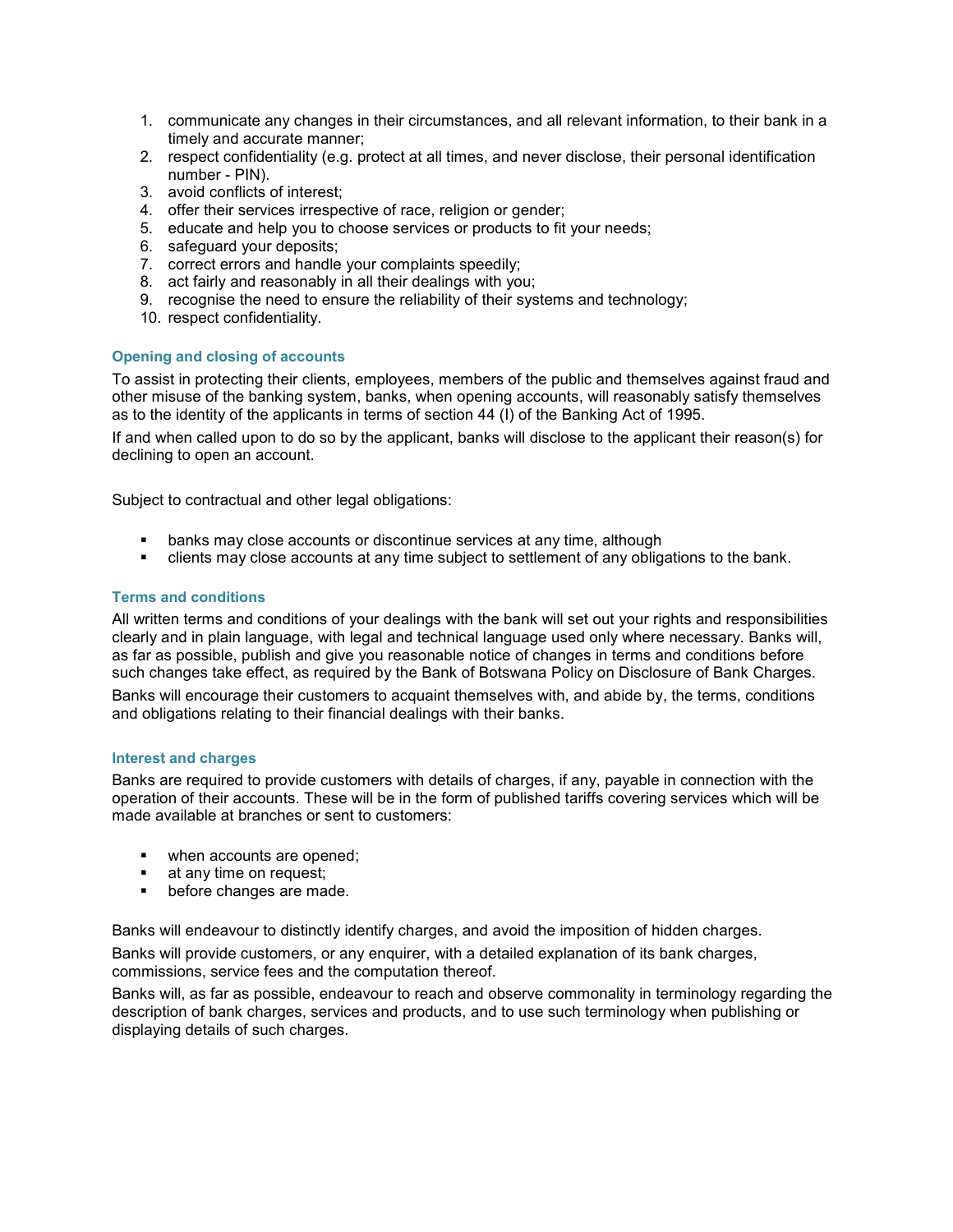- 1. communicate any changes in their circumstances, and all relevant information, to their bank in a timely and accurate manner;
- 2. respect confidentiality (e.g. protect at all times, and never disclose, their personal identification number - PIN).
- 3. avoid conflicts of interest;
- 4. offer their services irrespective of race, religion or gender;
- 5. educate and help you to choose services or products to fit your needs;
- 6. safeguard your deposits;
- 7. correct errors and handle your complaints speedily;
- 8. act fairly and reasonably in all their dealings with you;
- 9. recognise the need to ensure the reliability of their systems and technology;
- 10. respect confidentiality.

## Opening and closing of accounts

To assist in protecting their clients, employees, members of the public and themselves against fraud and other misuse of the banking system, banks, when opening accounts, will reasonably satisfy themselves as to the identity of the applicants in terms of section 44 (I) of the Banking Act of 1995.

If and when called upon to do so by the applicant, banks will disclose to the applicant their reason(s) for declining to open an account.

Subject to contractual and other legal obligations:

- **EXEDENT** banks may close accounts or discontinue services at any time, although
- clients may close accounts at any time subject to settlement of any obligations to the bank.

#### Terms and conditions

All written terms and conditions of your dealings with the bank will set out your rights and responsibilities clearly and in plain language, with legal and technical language used only where necessary. Banks will, as far as possible, publish and give you reasonable notice of changes in terms and conditions before such changes take effect, as required by the Bank of Botswana Policy on Disclosure of Bank Charges.

Banks will encourage their customers to acquaint themselves with, and abide by, the terms, conditions and obligations relating to their financial dealings with their banks.

#### Interest and charges

Banks are required to provide customers with details of charges, if any, payable in connection with the operation of their accounts. These will be in the form of published tariffs covering services which will be made available at branches or sent to customers:

- **•** when accounts are opened;
- **at any time on request;**
- **•** before changes are made.

Banks will endeavour to distinctly identify charges, and avoid the imposition of hidden charges.

Banks will provide customers, or any enquirer, with a detailed explanation of its bank charges, commissions, service fees and the computation thereof.

Banks will, as far as possible, endeavour to reach and observe commonality in terminology regarding the description of bank charges, services and products, and to use such terminology when publishing or displaying details of such charges.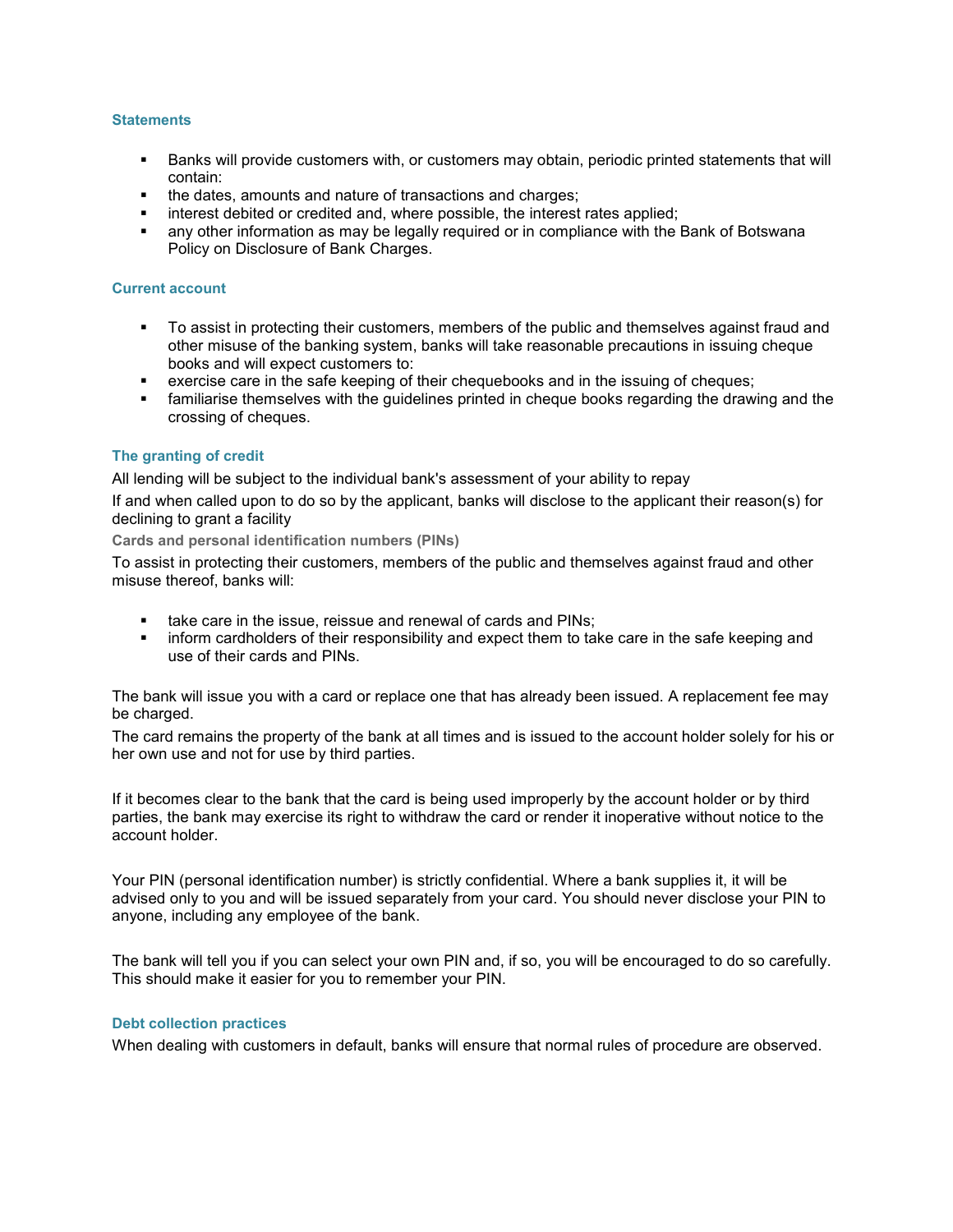#### **Statements**

- Banks will provide customers with, or customers may obtain, periodic printed statements that will contain:
- the dates, amounts and nature of transactions and charges;
- **EXEDENT INTERET** interest debited or credited and, where possible, the interest rates applied;
- any other information as may be legally required or in compliance with the Bank of Botswana Policy on Disclosure of Bank Charges.

#### Current account

- To assist in protecting their customers, members of the public and themselves against fraud and other misuse of the banking system, banks will take reasonable precautions in issuing cheque books and will expect customers to:
- exercise care in the safe keeping of their chequebooks and in the issuing of cheques;
- **Familiarise themselves with the guidelines printed in cheque books regarding the drawing and the** crossing of cheques.

## The granting of credit

All lending will be subject to the individual bank's assessment of your ability to repay

If and when called upon to do so by the applicant, banks will disclose to the applicant their reason(s) for declining to grant a facility

Cards and personal identification numbers (PINs)

To assist in protecting their customers, members of the public and themselves against fraud and other misuse thereof, banks will:

- **take care in the issue, reissue and renewal of cards and PINs;**
- inform cardholders of their responsibility and expect them to take care in the safe keeping and use of their cards and PINs.

The bank will issue you with a card or replace one that has already been issued. A replacement fee may be charged.

The card remains the property of the bank at all times and is issued to the account holder solely for his or her own use and not for use by third parties.

If it becomes clear to the bank that the card is being used improperly by the account holder or by third parties, the bank may exercise its right to withdraw the card or render it inoperative without notice to the account holder.

Your PIN (personal identification number) is strictly confidential. Where a bank supplies it, it will be advised only to you and will be issued separately from your card. You should never disclose your PIN to anyone, including any employee of the bank.

The bank will tell you if you can select your own PIN and, if so, you will be encouraged to do so carefully. This should make it easier for you to remember your PIN.

#### Debt collection practices

When dealing with customers in default, banks will ensure that normal rules of procedure are observed.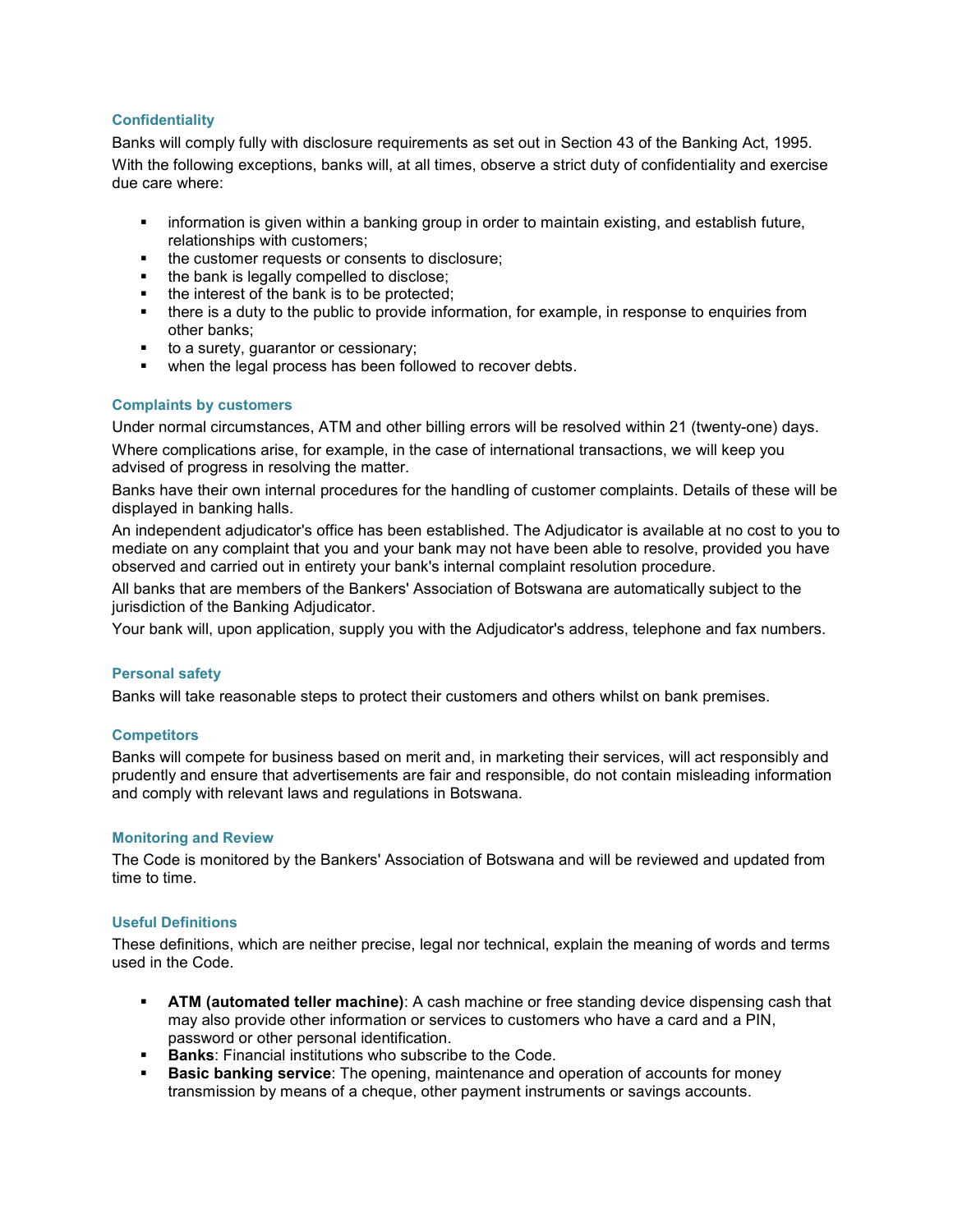## **Confidentiality**

Banks will comply fully with disclosure requirements as set out in Section 43 of the Banking Act, 1995. With the following exceptions, banks will, at all times, observe a strict duty of confidentiality and exercise due care where:

- information is given within a banking group in order to maintain existing, and establish future, relationships with customers;
- the customer requests or consents to disclosure;
- the bank is legally compelled to disclose;
- the interest of the bank is to be protected;
- there is a duty to the public to provide information, for example, in response to enquiries from other banks;
- to a surety, guarantor or cessionary;
- when the legal process has been followed to recover debts.

## Complaints by customers

Under normal circumstances, ATM and other billing errors will be resolved within 21 (twenty-one) days. Where complications arise, for example, in the case of international transactions, we will keep you advised of progress in resolving the matter.

Banks have their own internal procedures for the handling of customer complaints. Details of these will be displayed in banking halls.

An independent adjudicator's office has been established. The Adjudicator is available at no cost to you to mediate on any complaint that you and your bank may not have been able to resolve, provided you have observed and carried out in entirety your bank's internal complaint resolution procedure.

All banks that are members of the Bankers' Association of Botswana are automatically subject to the jurisdiction of the Banking Adjudicator.

Your bank will, upon application, supply you with the Adjudicator's address, telephone and fax numbers.

## Personal safety

Banks will take reasonable steps to protect their customers and others whilst on bank premises.

## **Competitors**

Banks will compete for business based on merit and, in marketing their services, will act responsibly and prudently and ensure that advertisements are fair and responsible, do not contain misleading information and comply with relevant laws and regulations in Botswana.

## Monitoring and Review

The Code is monitored by the Bankers' Association of Botswana and will be reviewed and updated from time to time.

## Useful Definitions

These definitions, which are neither precise, legal nor technical, explain the meaning of words and terms used in the Code.

- ATM (automated teller machine): A cash machine or free standing device dispensing cash that may also provide other information or services to customers who have a card and a PIN, password or other personal identification.
- **Banks:** Financial institutions who subscribe to the Code.
- Basic banking service: The opening, maintenance and operation of accounts for money transmission by means of a cheque, other payment instruments or savings accounts.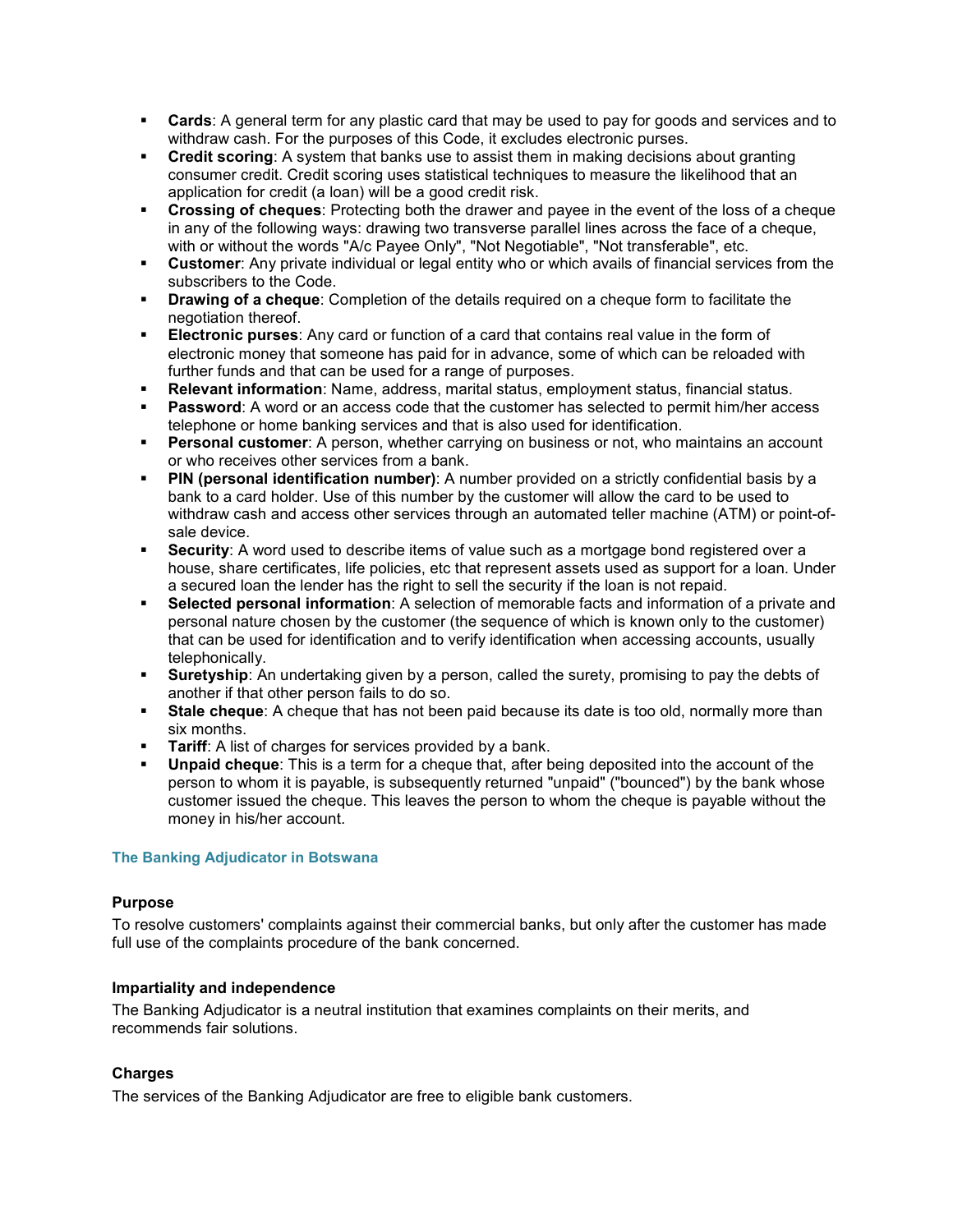- **Cards:** A general term for any plastic card that may be used to pay for goods and services and to withdraw cash. For the purposes of this Code, it excludes electronic purses.
- Credit scoring: A system that banks use to assist them in making decisions about granting consumer credit. Credit scoring uses statistical techniques to measure the likelihood that an application for credit (a loan) will be a good credit risk.
- Crossing of cheques: Protecting both the drawer and payee in the event of the loss of a cheque in any of the following ways: drawing two transverse parallel lines across the face of a cheque, with or without the words "A/c Payee Only", "Not Negotiable", "Not transferable", etc.
- **Customer:** Any private individual or legal entity who or which avails of financial services from the subscribers to the Code.
- **Drawing of a cheque:** Completion of the details required on a cheque form to facilitate the negotiation thereof.
- Electronic purses: Any card or function of a card that contains real value in the form of electronic money that someone has paid for in advance, some of which can be reloaded with further funds and that can be used for a range of purposes.
- **Relevant information**: Name, address, marital status, employment status, financial status.
- Password: A word or an access code that the customer has selected to permit him/her access telephone or home banking services and that is also used for identification.
- **Personal customer**: A person, whether carrying on business or not, who maintains an account or who receives other services from a bank.
- **PIN (personal identification number)**: A number provided on a strictly confidential basis by a bank to a card holder. Use of this number by the customer will allow the card to be used to withdraw cash and access other services through an automated teller machine (ATM) or point-ofsale device.
- **Security:** A word used to describe items of value such as a mortgage bond registered over a house, share certificates, life policies, etc that represent assets used as support for a loan. Under a secured loan the lender has the right to sell the security if the loan is not repaid.
- Selected personal information: A selection of memorable facts and information of a private and personal nature chosen by the customer (the sequence of which is known only to the customer) that can be used for identification and to verify identification when accessing accounts, usually telephonically.
- **Suretyship:** An undertaking given by a person, called the surety, promising to pay the debts of another if that other person fails to do so.
- **Stale cheque**: A cheque that has not been paid because its date is too old, normally more than six months.
- Tariff: A list of charges for services provided by a bank.
- Unpaid cheque: This is a term for a cheque that, after being deposited into the account of the person to whom it is payable, is subsequently returned "unpaid" ("bounced") by the bank whose customer issued the cheque. This leaves the person to whom the cheque is payable without the money in his/her account.

## The Banking Adjudicator in Botswana

## Purpose

To resolve customers' complaints against their commercial banks, but only after the customer has made full use of the complaints procedure of the bank concerned.

# Impartiality and independence

The Banking Adjudicator is a neutral institution that examines complaints on their merits, and recommends fair solutions.

# Charges

The services of the Banking Adjudicator are free to eligible bank customers.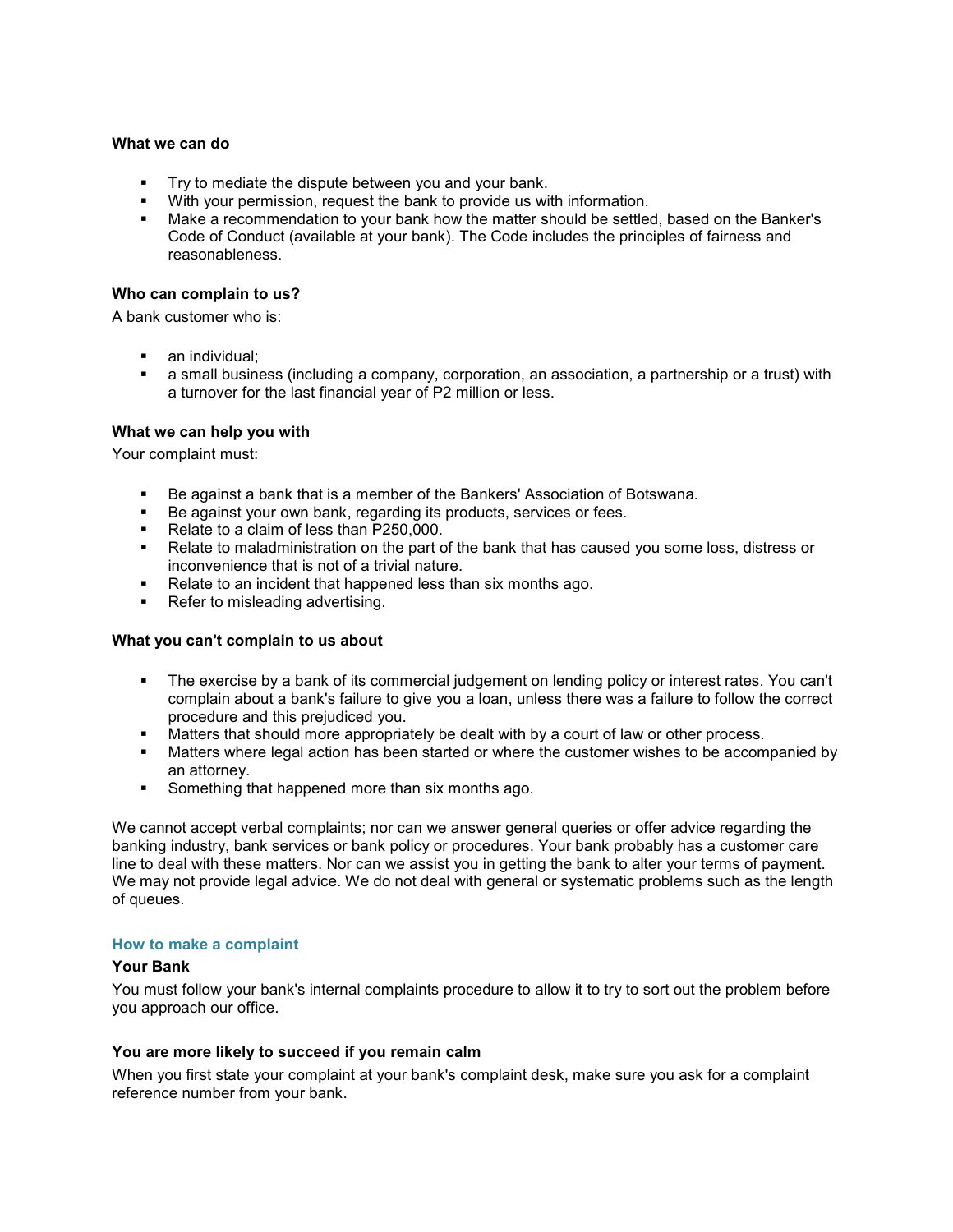#### What we can do

- **Try to mediate the dispute between you and your bank.**
- With your permission, request the bank to provide us with information.
- Make a recommendation to your bank how the matter should be settled, based on the Banker's Code of Conduct (available at your bank). The Code includes the principles of fairness and reasonableness.

## Who can complain to us?

A bank customer who is:

- an individual;
- a small business (including a company, corporation, an association, a partnership or a trust) with a turnover for the last financial year of P2 million or less.

## What we can help you with

Your complaint must:

- Be against a bank that is a member of the Bankers' Association of Botswana.
- Be against your own bank, regarding its products, services or fees.
- Relate to a claim of less than P250,000.
- Relate to maladministration on the part of the bank that has caused you some loss, distress or inconvenience that is not of a trivial nature.
- Relate to an incident that happened less than six months ago.
- Refer to misleading advertising.

#### What you can't complain to us about

- The exercise by a bank of its commercial judgement on lending policy or interest rates. You can't complain about a bank's failure to give you a loan, unless there was a failure to follow the correct procedure and this prejudiced you.
- Matters that should more appropriately be dealt with by a court of law or other process.
- **Matters where legal action has been started or where the customer wishes to be accompanied by** an attorney.
- **Something that happened more than six months ago.**

We cannot accept verbal complaints; nor can we answer general queries or offer advice regarding the banking industry, bank services or bank policy or procedures. Your bank probably has a customer care line to deal with these matters. Nor can we assist you in getting the bank to alter your terms of payment. We may not provide legal advice. We do not deal with general or systematic problems such as the length of queues.

#### How to make a complaint

#### Your Bank

You must follow your bank's internal complaints procedure to allow it to try to sort out the problem before you approach our office.

## You are more likely to succeed if you remain calm

When you first state your complaint at your bank's complaint desk, make sure you ask for a complaint reference number from your bank.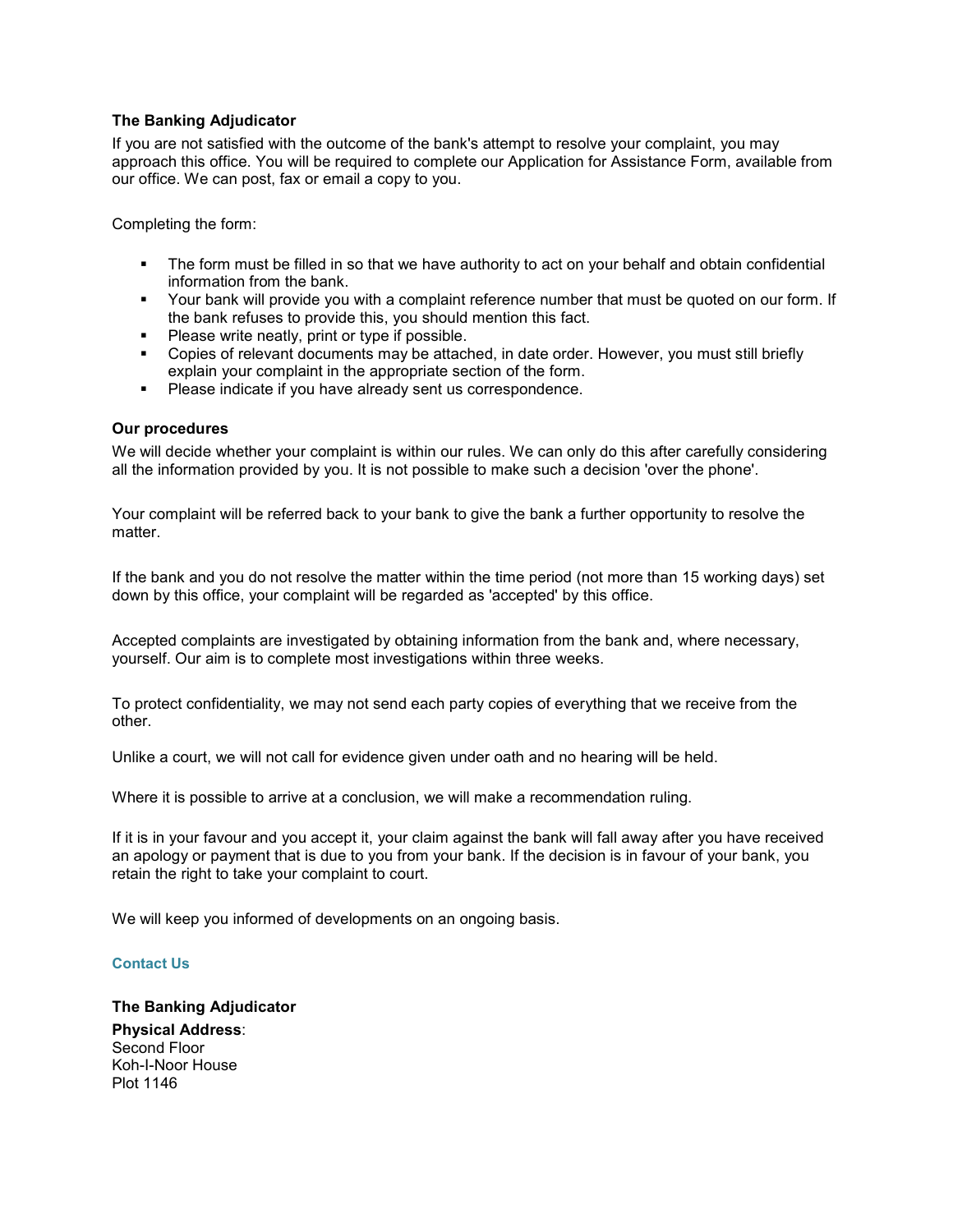## The Banking Adjudicator

If you are not satisfied with the outcome of the bank's attempt to resolve your complaint, you may approach this office. You will be required to complete our Application for Assistance Form, available from our office. We can post, fax or email a copy to you.

Completing the form:

- The form must be filled in so that we have authority to act on your behalf and obtain confidential information from the bank.
- Your bank will provide you with a complaint reference number that must be quoted on our form. If the bank refuses to provide this, you should mention this fact.
- **Please write neatly, print or type if possible.**
- Copies of relevant documents may be attached, in date order. However, you must still briefly explain your complaint in the appropriate section of the form.
- **Please indicate if you have already sent us correspondence.**

## Our procedures

We will decide whether your complaint is within our rules. We can only do this after carefully considering all the information provided by you. It is not possible to make such a decision 'over the phone'.

Your complaint will be referred back to your bank to give the bank a further opportunity to resolve the matter.

If the bank and you do not resolve the matter within the time period (not more than 15 working days) set down by this office, your complaint will be regarded as 'accepted' by this office.

Accepted complaints are investigated by obtaining information from the bank and, where necessary, yourself. Our aim is to complete most investigations within three weeks.

To protect confidentiality, we may not send each party copies of everything that we receive from the other.

Unlike a court, we will not call for evidence given under oath and no hearing will be held.

Where it is possible to arrive at a conclusion, we will make a recommendation ruling.

If it is in your favour and you accept it, your claim against the bank will fall away after you have received an apology or payment that is due to you from your bank. If the decision is in favour of your bank, you retain the right to take your complaint to court.

We will keep you informed of developments on an ongoing basis.

## Contact Us

The Banking Adjudicator Physical Address: Second Floor Koh-I-Noor House Plot 1146